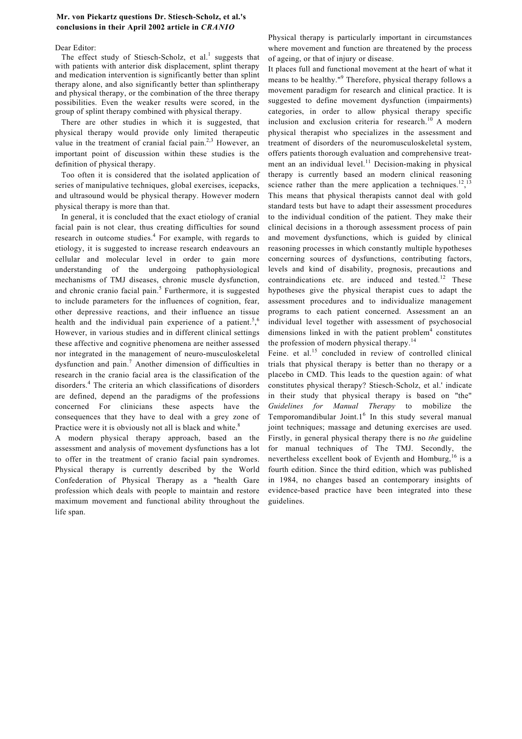## **Mr. von Piekartz questions Dr. Stiesch-Scholz, et al.'s conclusions in their April 2002 article in** *CRANIO*

## Dear Editor:

The effect study of Stiesch-Scholz, et al.<sup>1</sup> suggests that with patients with anterior disk displacement, splint therapy and medication intervention is significantly better than splint therapy alone, and also significantly better than splintherapy and physical therapy, or the combination of the three therapy possibilities. Even the weaker results were scored, in the group of splint therapy combined with physical therapy.

There are other studies in which it is suggested, that physical therapy would provide only limited therapeutic value in the treatment of cranial facial pain.<sup>2,3</sup> However, an important point of discussion within these studies is the definition of physical therapy.

Too often it is considered that the isolated application of series of manipulative techniques, global exercises, icepacks, and ultrasound would be physical therapy. However modern physical therapy is more than that.

In general, it is concluded that the exact etiology of cranial facial pain is not clear, thus creating difficulties for sound research in outcome studies.<sup>4</sup> For example, with regards to etiology, it is suggested to increase research endeavours an cellular and molecular level in order to gain more understanding of the undergoing pathophysiological mechanisms of TMJ diseases, chronic muscle dysfunction, and chronic cranio facial pain.<sup>5</sup> Furthermore, it is suggested to include parameters for the influences of cognition, fear, other depressive reactions, and their influence an tissue health and the individual pain experience of a patient.<sup>5</sup>,<sup>6</sup> However, in various studies and in different clinical settings these affective and cognitive phenomena are neither assessed nor integrated in the management of neuro-musculoskeletal dysfunction and pain.<sup>7</sup> Another dimension of difficulties in research in the cranio facial area is the classification of the disorders.<sup>4</sup> The criteria an which classifications of disorders are defined, depend an the paradigms of the professions concerned For clinicians these aspects have the consequences that they have to deal with a grey zone of Practice were it is obviously not all is black and white.<sup>8</sup>

A modern physical therapy approach, based an the assessment and analysis of movement dysfunctions has a lot to offer in the treatment of cranio facial pain syndromes. Physical therapy is currently described by the World Confederation of Physical Therapy as a "health Gare profession which deals with people to maintain and restore maximum movement and functional ability throughout the life span.

Physical therapy is particularly important in circumstances where movement and function are threatened by the process of ageing, or that of injury or disease.

It places full and functional movement at the heart of what it means to be healthy."<sup>9</sup> Therefore, physical therapy follows a movement paradigm for research and clinical practice. It is suggested to define movement dysfunction (impairments) categories, in order to allow physical therapy specific inclusion and exclusion criteria for research.<sup>10</sup> A modern physical therapist who specializes in the assessment and treatment of disorders of the neuromusculoskeletal system, offers patients thorough evaluation and comprehensive treatment an an individual level.<sup>11</sup> Decision-making in physical therapy is currently based an modern clinical reasoning science rather than the mere application a techniques.<sup>12</sup>,<sup>13</sup> This means that physical therapists cannot deal with gold standard tests but have to adapt their assessment procedures to the individual condition of the patient. They make their clinical decisions in a thorough assessment process of pain and movement dysfunctions, which is guided by clinical reasoning processes in which constantly multiple hypotheses concerning sources of dysfunctions, contributing factors, levels and kind of disability, prognosis, precautions and contraindications etc. are induced and tested. $12$  These hypotheses give the physical therapist cues to adapt the assessment procedures and to individualize management programs to each patient concerned. Assessment an an individual level together with assessment of psychosocial dimensions linked in with the patient problem $4$  constitutes the profession of modern physical therapy.<sup>14</sup>

Feine. et al.<sup>15</sup> concluded in review of controlled clinical trials that physical therapy is better than no therapy or a placebo in CMD. This leads to the question again: of what constitutes physical therapy? Stiesch-Scholz, et al.' indicate in their study that physical therapy is based on "the" *Guidelines for Manual Therapy* to mobilize the Temporomandibular Joint. $1<sup>6</sup>$  In this study several manual joint techniques; massage and detuning exercises are used. Firstly, in general physical therapy there is no *the* guideline for manual techniques of The TMJ. Secondly, the nevertheless excellent book of Evjenth and Homburg,  $16$  is a fourth edition. Since the third edition, which was published in 1984, no changes based an contemporary insights of evidence-based practice have been integrated into these guidelines.